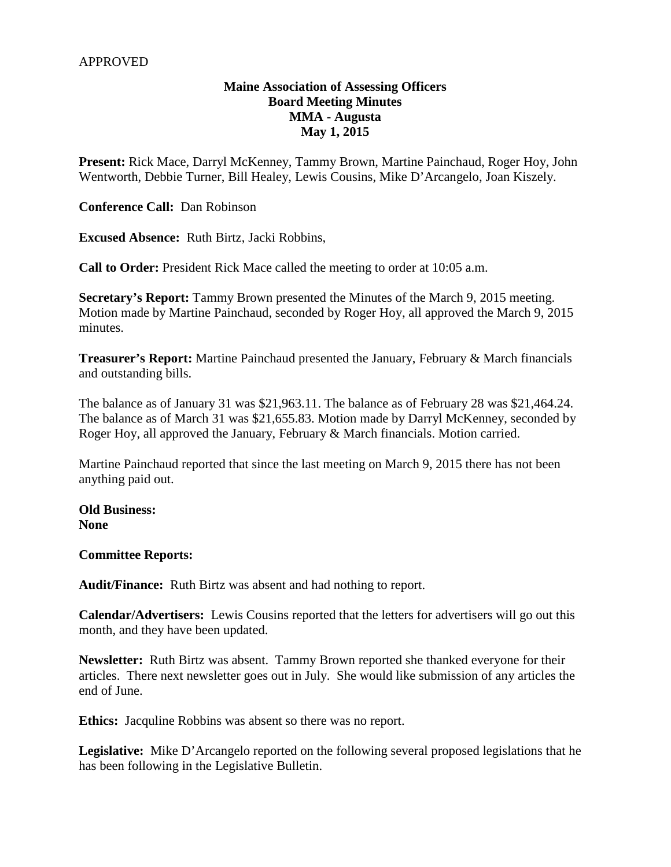# **Maine Association of Assessing Officers Board Meeting Minutes MMA - Augusta May 1, 2015**

**Present:** Rick Mace, Darryl McKenney, Tammy Brown, Martine Painchaud, Roger Hoy, John Wentworth, Debbie Turner, Bill Healey, Lewis Cousins, Mike D'Arcangelo, Joan Kiszely.

**Conference Call:** Dan Robinson

**Excused Absence:** Ruth Birtz, Jacki Robbins,

**Call to Order:** President Rick Mace called the meeting to order at 10:05 a.m.

**Secretary's Report:** Tammy Brown presented the Minutes of the March 9, 2015 meeting. Motion made by Martine Painchaud, seconded by Roger Hoy, all approved the March 9, 2015 minutes.

**Treasurer's Report:** Martine Painchaud presented the January, February & March financials and outstanding bills.

The balance as of January 31 was \$21,963.11. The balance as of February 28 was \$21,464.24. The balance as of March 31 was \$21,655.83. Motion made by Darryl McKenney, seconded by Roger Hoy, all approved the January, February & March financials. Motion carried.

Martine Painchaud reported that since the last meeting on March 9, 2015 there has not been anything paid out.

**Old Business: None**

**Committee Reports:**

**Audit/Finance:** Ruth Birtz was absent and had nothing to report.

**Calendar/Advertisers:** Lewis Cousins reported that the letters for advertisers will go out this month, and they have been updated.

**Newsletter:** Ruth Birtz was absent. Tammy Brown reported she thanked everyone for their articles. There next newsletter goes out in July. She would like submission of any articles the end of June.

**Ethics:** Jacquline Robbins was absent so there was no report.

**Legislative:** Mike D'Arcangelo reported on the following several proposed legislations that he has been following in the Legislative Bulletin.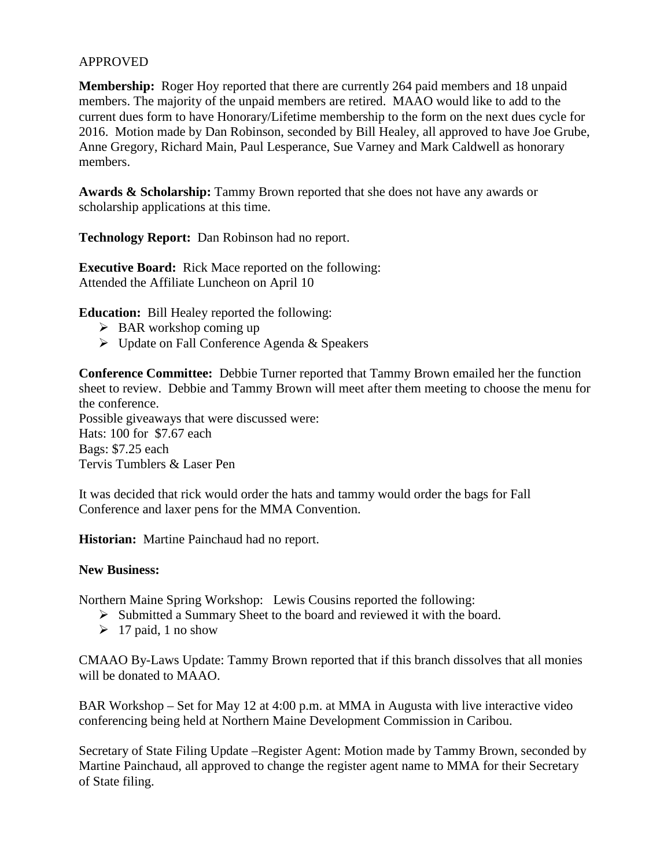# APPROVED

**Membership:** Roger Hoy reported that there are currently 264 paid members and 18 unpaid members. The majority of the unpaid members are retired. MAAO would like to add to the current dues form to have Honorary/Lifetime membership to the form on the next dues cycle for 2016. Motion made by Dan Robinson, seconded by Bill Healey, all approved to have Joe Grube, Anne Gregory, Richard Main, Paul Lesperance, Sue Varney and Mark Caldwell as honorary members.

**Awards & Scholarship:** Tammy Brown reported that she does not have any awards or scholarship applications at this time.

**Technology Report:** Dan Robinson had no report.

**Executive Board:** Rick Mace reported on the following: Attended the Affiliate Luncheon on April 10

**Education:** Bill Healey reported the following:

- $\triangleright$  BAR workshop coming up
- $\triangleright$  Update on Fall Conference Agenda & Speakers

**Conference Committee:** Debbie Turner reported that Tammy Brown emailed her the function sheet to review. Debbie and Tammy Brown will meet after them meeting to choose the menu for the conference. Possible giveaways that were discussed were: Hats: 100 for \$7.67 each Bags: \$7.25 each Tervis Tumblers & Laser Pen

It was decided that rick would order the hats and tammy would order the bags for Fall Conference and laxer pens for the MMA Convention.

**Historian:** Martine Painchaud had no report.

### **New Business:**

Northern Maine Spring Workshop: Lewis Cousins reported the following:

- Submitted a Summary Sheet to the board and reviewed it with the board.
- $\geq 17$  paid, 1 no show

CMAAO By-Laws Update: Tammy Brown reported that if this branch dissolves that all monies will be donated to MAAO.

BAR Workshop – Set for May 12 at 4:00 p.m. at MMA in Augusta with live interactive video conferencing being held at Northern Maine Development Commission in Caribou.

Secretary of State Filing Update –Register Agent: Motion made by Tammy Brown, seconded by Martine Painchaud, all approved to change the register agent name to MMA for their Secretary of State filing.